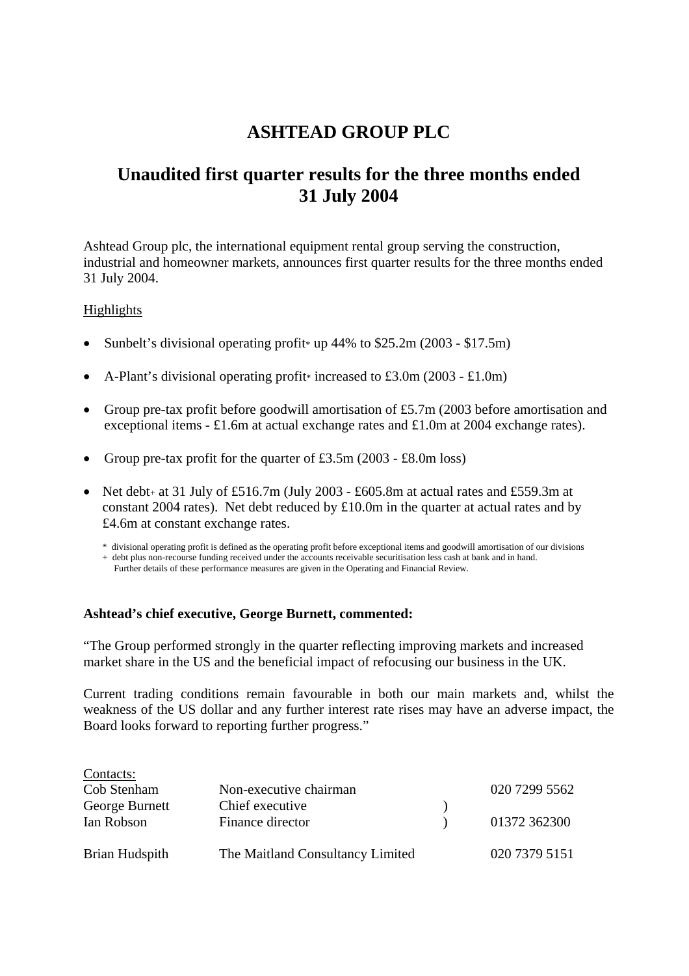# **ASHTEAD GROUP PLC**

# **Unaudited first quarter results for the three months ended 31 July 2004**

Ashtead Group plc, the international equipment rental group serving the construction, industrial and homeowner markets, announces first quarter results for the three months ended 31 July 2004.

#### Highlights

- Sunbelt's divisional operating profit \* up  $44\%$  to \$25.2m (2003 \$17.5m)
- A-Plant's divisional operating profit<sup>\*</sup> increased to £3.0m (2003 £1.0m)
- Group pre-tax profit before goodwill amortisation of £5.7m (2003 before amortisation and exceptional items - £1.6m at actual exchange rates and £1.0m at 2004 exchange rates).
- Group pre-tax profit for the quarter of £3.5m (2003 £8.0m loss)
- Net debt<sub>+</sub> at 31 July of £516.7m (July 2003 £605.8m at actual rates and £559.3m at constant 2004 rates). Net debt reduced by  $\text{\pounds}10.0m$  in the quarter at actual rates and by £4.6m at constant exchange rates.

\* divisional operating profit is defined as the operating profit before exceptional items and goodwill amortisation of our divisions

+ debt plus non-recourse funding received under the accounts receivable securitisation less cash at bank and in hand.

Further details of these performance measures are given in the Operating and Financial Review.

#### **Ashtead's chief executive, George Burnett, commented:**

"The Group performed strongly in the quarter reflecting improving markets and increased market share in the US and the beneficial impact of refocusing our business in the UK.

Current trading conditions remain favourable in both our main markets and, whilst the weakness of the US dollar and any further interest rate rises may have an adverse impact, the Board looks forward to reporting further progress."

| Contacts:      |                                  |               |
|----------------|----------------------------------|---------------|
| Cob Stenham    | Non-executive chairman           | 020 7299 5562 |
| George Burnett | Chief executive                  |               |
| Ian Robson     | Finance director                 | 01372 362300  |
|                |                                  |               |
| Brian Hudspith | The Maitland Consultancy Limited | 020 7379 5151 |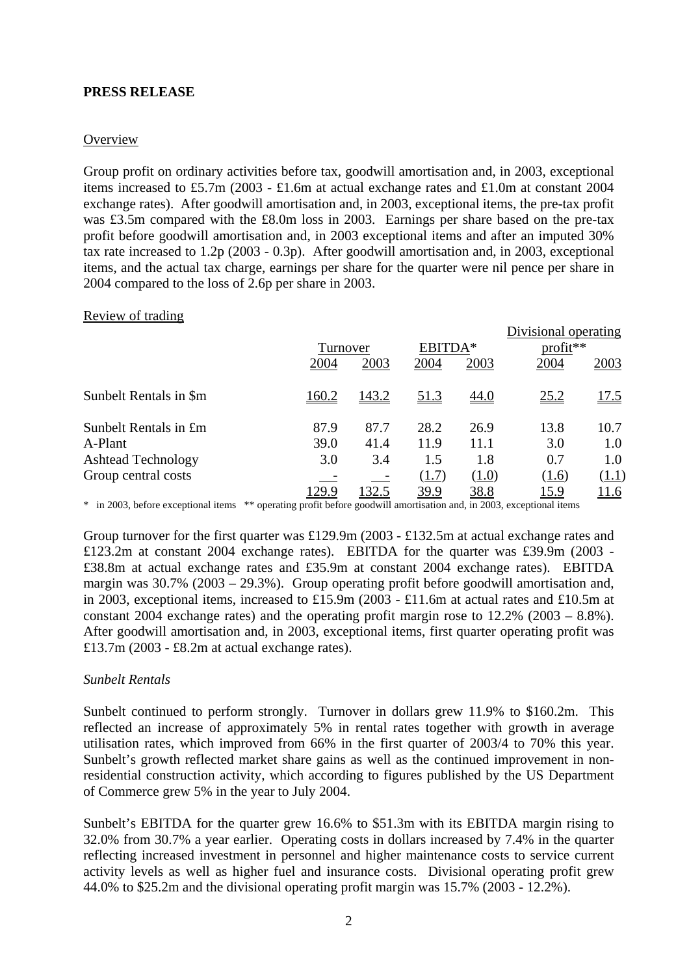## **PRESS RELEASE**

## **Overview**

Group profit on ordinary activities before tax, goodwill amortisation and, in 2003, exceptional items increased to £5.7m (2003 - £1.6m at actual exchange rates and £1.0m at constant 2004 exchange rates). After goodwill amortisation and, in 2003, exceptional items, the pre-tax profit was £3.5m compared with the £8.0m loss in 2003. Earnings per share based on the pre-tax profit before goodwill amortisation and, in 2003 exceptional items and after an imputed 30% tax rate increased to 1.2p (2003 - 0.3p). After goodwill amortisation and, in 2003, exceptional items, and the actual tax charge, earnings per share for the quarter were nil pence per share in 2004 compared to the loss of 2.6p per share in 2003.

#### Review of trading

|                           |              |              |             |             | Divisional operating |             |
|---------------------------|--------------|--------------|-------------|-------------|----------------------|-------------|
|                           |              | Turnover     |             | EBITDA*     | $profit**$           |             |
|                           | 2004         | 2003         | 2004        | 2003        | 2004                 | 2003        |
| Sunbelt Rentals in \$m    | <u>160.2</u> | <u>143.2</u> | <u>51.3</u> | <u>44.0</u> | 25.2                 | 17.5        |
| Sunbelt Rentals in £m     | 87.9         | 87.7         | 28.2        | 26.9        | 13.8                 | 10.7        |
| A-Plant                   | 39.0         | 41.4         | 11.9        | 11.1        | 3.0                  | 1.0         |
| <b>Ashtead Technology</b> | 3.0          | 3.4          | 1.5         | 1.8         | 0.7                  | 1.0         |
| Group central costs       |              |              | (1.7)       | (1.0)       | (1.6)                | (1.1)       |
|                           | 129.9        | 32.5         | 39.9        | 38.8        | <u> 15.9</u>         | <u>11.6</u> |

\* in 2003, before exceptional items \*\* operating profit before goodwill amortisation and, in 2003, exceptional items

Group turnover for the first quarter was £129.9m (2003 - £132.5m at actual exchange rates and £123.2m at constant 2004 exchange rates). EBITDA for the quarter was £39.9m (2003 - £38.8m at actual exchange rates and £35.9m at constant 2004 exchange rates). EBITDA margin was 30.7% (2003 – 29.3%). Group operating profit before goodwill amortisation and, in 2003, exceptional items, increased to £15.9m (2003 - £11.6m at actual rates and £10.5m at constant 2004 exchange rates) and the operating profit margin rose to 12.2% (2003 – 8.8%). After goodwill amortisation and, in 2003, exceptional items, first quarter operating profit was £13.7m (2003 - £8.2m at actual exchange rates).

#### *Sunbelt Rentals*

Sunbelt continued to perform strongly. Turnover in dollars grew 11.9% to \$160.2m. This reflected an increase of approximately 5% in rental rates together with growth in average utilisation rates, which improved from 66% in the first quarter of 2003/4 to 70% this year. Sunbelt's growth reflected market share gains as well as the continued improvement in nonresidential construction activity, which according to figures published by the US Department of Commerce grew 5% in the year to July 2004.

Sunbelt's EBITDA for the quarter grew 16.6% to \$51.3m with its EBITDA margin rising to 32.0% from 30.7% a year earlier. Operating costs in dollars increased by 7.4% in the quarter reflecting increased investment in personnel and higher maintenance costs to service current activity levels as well as higher fuel and insurance costs. Divisional operating profit grew 44.0% to \$25.2m and the divisional operating profit margin was 15.7% (2003 - 12.2%).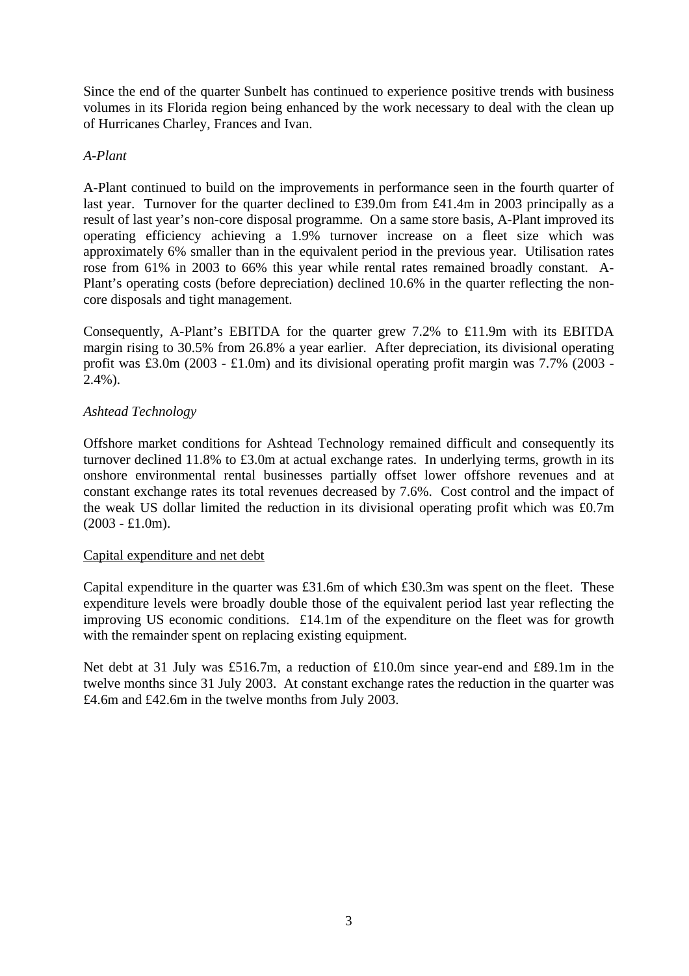Since the end of the quarter Sunbelt has continued to experience positive trends with business volumes in its Florida region being enhanced by the work necessary to deal with the clean up of Hurricanes Charley, Frances and Ivan.

### *A-Plant*

A-Plant continued to build on the improvements in performance seen in the fourth quarter of last year. Turnover for the quarter declined to £39.0m from £41.4m in 2003 principally as a result of last year's non-core disposal programme. On a same store basis, A-Plant improved its operating efficiency achieving a 1.9% turnover increase on a fleet size which was approximately 6% smaller than in the equivalent period in the previous year. Utilisation rates rose from 61% in 2003 to 66% this year while rental rates remained broadly constant. A-Plant's operating costs (before depreciation) declined 10.6% in the quarter reflecting the noncore disposals and tight management.

Consequently, A-Plant's EBITDA for the quarter grew 7.2% to £11.9m with its EBITDA margin rising to 30.5% from 26.8% a year earlier. After depreciation, its divisional operating profit was £3.0m (2003 - £1.0m) and its divisional operating profit margin was 7.7% (2003 -  $2.4\%$ ).

## *Ashtead Technology*

Offshore market conditions for Ashtead Technology remained difficult and consequently its turnover declined 11.8% to £3.0m at actual exchange rates. In underlying terms, growth in its onshore environmental rental businesses partially offset lower offshore revenues and at constant exchange rates its total revenues decreased by 7.6%. Cost control and the impact of the weak US dollar limited the reduction in its divisional operating profit which was £0.7m  $(2003 - £1.0m)$ .

#### Capital expenditure and net debt

Capital expenditure in the quarter was £31.6m of which £30.3m was spent on the fleet. These expenditure levels were broadly double those of the equivalent period last year reflecting the improving US economic conditions. £14.1m of the expenditure on the fleet was for growth with the remainder spent on replacing existing equipment.

Net debt at 31 July was £516.7m, a reduction of £10.0m since year-end and £89.1m in the twelve months since 31 July 2003. At constant exchange rates the reduction in the quarter was £4.6m and £42.6m in the twelve months from July 2003.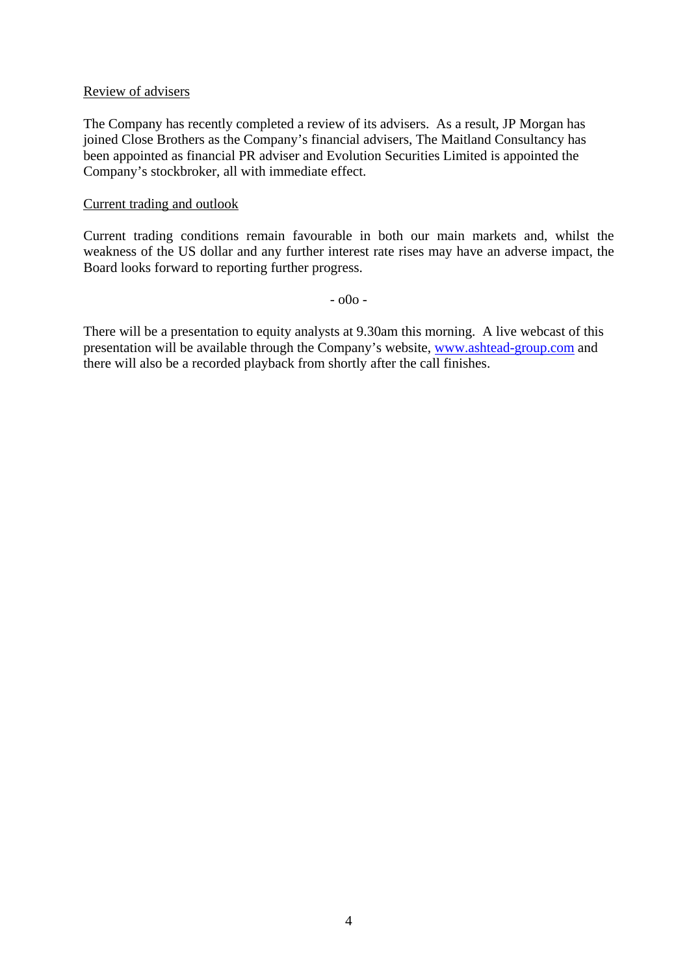#### Review of advisers

The Company has recently completed a review of its advisers. As a result, JP Morgan has joined Close Brothers as the Company's financial advisers, The Maitland Consultancy has been appointed as financial PR adviser and Evolution Securities Limited is appointed the Company's stockbroker, all with immediate effect.

#### Current trading and outlook

Current trading conditions remain favourable in both our main markets and, whilst the weakness of the US dollar and any further interest rate rises may have an adverse impact, the Board looks forward to reporting further progress.

 $00^{\circ}$  -

There will be a presentation to equity analysts at 9.30am this morning. A live webcast of this presentation will be available through the Company's website, [www.ashtead-group.com](http://www.ashtead-group.com/) and there will also be a recorded playback from shortly after the call finishes.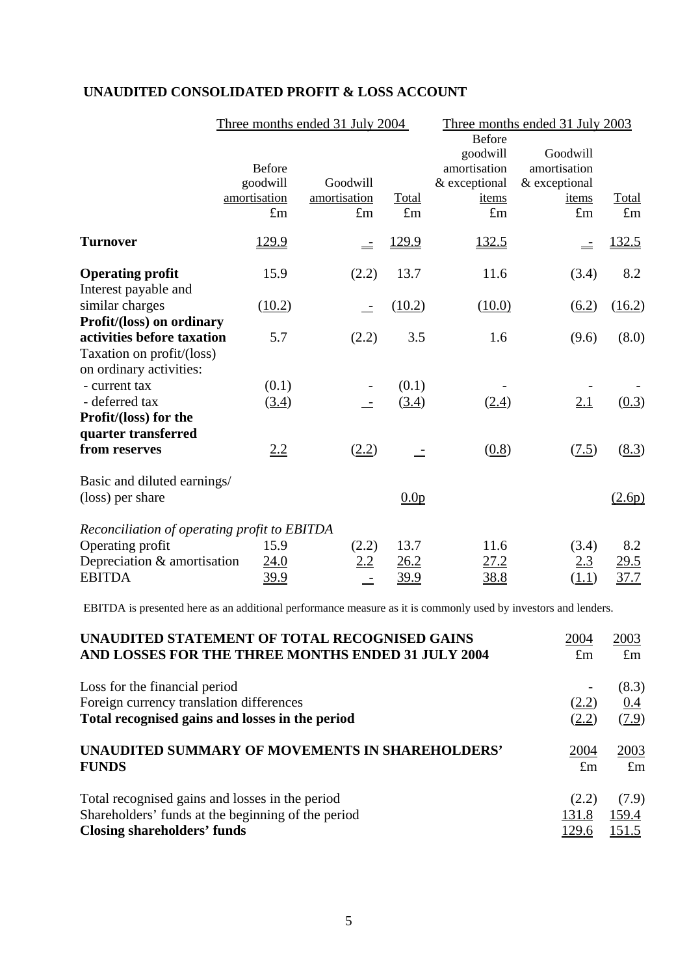|                                                      |                                           | Three months ended 31 July 2004 |                  | Three months ended 31 July 2003                                     |                                                    |             |
|------------------------------------------------------|-------------------------------------------|---------------------------------|------------------|---------------------------------------------------------------------|----------------------------------------------------|-------------|
|                                                      | <b>Before</b><br>goodwill<br>amortisation | Goodwill<br>amortisation        | Total            | <b>Before</b><br>goodwill<br>amortisation<br>& exceptional<br>items | Goodwill<br>amortisation<br>& exceptional<br>items | Total       |
|                                                      | $\pounds$ m                               | $\pounds$ m                     | $\pounds$ m      | $\pounds$ m                                                         | $\pounds$ m                                        | $\pounds$ m |
| <b>Turnover</b>                                      | 129.9                                     |                                 | 129.9            | 132.5                                                               |                                                    | 132.5       |
| <b>Operating profit</b>                              | 15.9                                      | (2.2)                           | 13.7             | 11.6                                                                | (3.4)                                              | 8.2         |
| Interest payable and<br>similar charges              | (10.2)                                    |                                 | (10.2)           | (10.0)                                                              | (6.2)                                              | (16.2)      |
| Profit/(loss) on ordinary                            |                                           |                                 |                  |                                                                     |                                                    |             |
| activities before taxation                           | 5.7                                       | (2.2)                           | 3.5              | 1.6                                                                 | (9.6)                                              | (8.0)       |
| Taxation on profit/(loss)<br>on ordinary activities: |                                           |                                 |                  |                                                                     |                                                    |             |
| - current tax                                        | (0.1)                                     |                                 | (0.1)            |                                                                     |                                                    |             |
| - deferred tax                                       | (3.4)                                     |                                 | (3.4)            | (2.4)                                                               | 2.1                                                | (0.3)       |
| Profit/(loss) for the                                |                                           |                                 |                  |                                                                     |                                                    |             |
| quarter transferred                                  |                                           |                                 |                  |                                                                     |                                                    |             |
| from reserves                                        | 2.2                                       | (2.2)                           | $\equiv$         | (0.8)                                                               | (7.5)                                              | (8.3)       |
| Basic and diluted earnings/                          |                                           |                                 |                  |                                                                     |                                                    |             |
| (loss) per share                                     |                                           |                                 | 0.0 <sub>p</sub> |                                                                     |                                                    | (2.6p)      |
| Reconciliation of operating profit to EBITDA         |                                           |                                 |                  |                                                                     |                                                    |             |
| Operating profit                                     | 15.9                                      | (2.2)                           | 13.7             | 11.6                                                                | (3.4)                                              | 8.2         |
| Depreciation & amortisation                          | 24.0                                      | 2.2                             | 26.2             | 27.2                                                                | 2.3                                                | 29.5        |
| <b>EBITDA</b>                                        | <u>39.9</u>                               |                                 | <u>39.9</u>      | <u>38.8</u>                                                         | (1.1)                                              | 37.7        |

## **UNAUDITED CONSOLIDATED PROFIT & LOSS ACCOUNT**

EBITDA is presented here as an additional performance measure as it is commonly used by investors and lenders.

| UNAUDITED STATEMENT OF TOTAL RECOGNISED GAINS                                                                                | 2004           | 2003                  |
|------------------------------------------------------------------------------------------------------------------------------|----------------|-----------------------|
| AND LOSSES FOR THE THREE MONTHS ENDED 31 JULY 2004                                                                           | $\pounds$ m    | $\pounds$ m           |
| Loss for the financial period<br>Foreign currency translation differences<br>Total recognised gains and losses in the period | (2.2)<br>(2.2) | (8.3)<br>0.4<br>(7.9) |
| UNAUDITED SUMMARY OF MOVEMENTS IN SHAREHOLDERS'                                                                              | 2004           | 2003                  |
| <b>FUNDS</b>                                                                                                                 | $\pounds$ m    | $\pounds$ m           |
| Total recognised gains and losses in the period                                                                              | (2.2)          | (7.9)                 |
| Shareholders' funds at the beginning of the period                                                                           | 131.8          | 159.4                 |
| <b>Closing shareholders' funds</b>                                                                                           | <u>129.6</u>   | 151.5                 |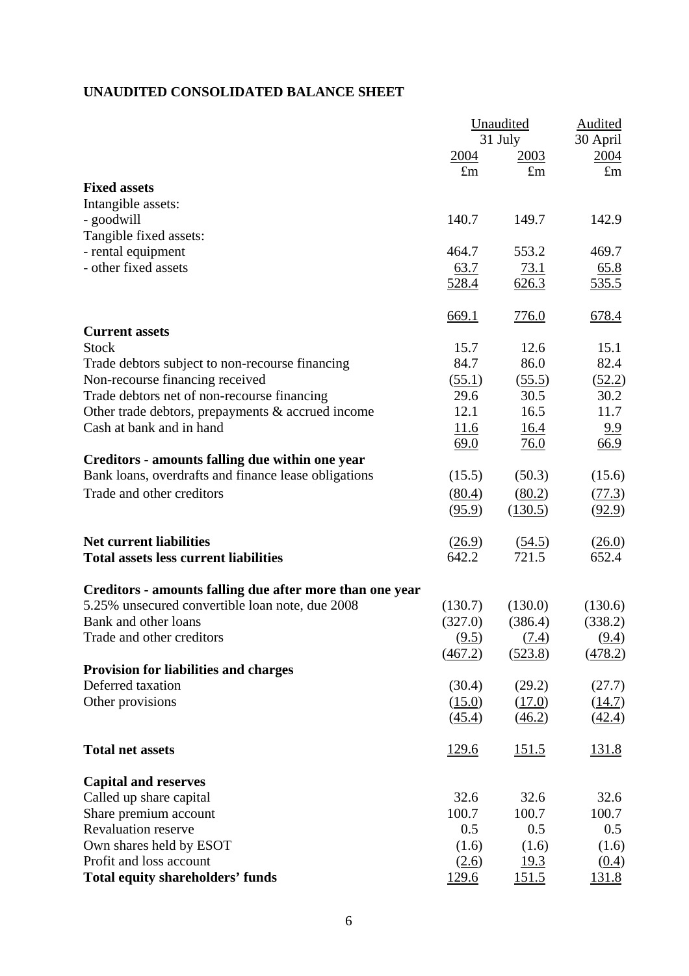## **UNAUDITED CONSOLIDATED BALANCE SHEET**

|                                                          |              | Unaudited    | <b>Audited</b> |
|----------------------------------------------------------|--------------|--------------|----------------|
|                                                          |              | 31 July      | 30 April       |
|                                                          | 2004         | <u>2003</u>  | 2004           |
|                                                          | $\pounds$ m  | $\pounds$ m  | $\pounds$ m    |
| <b>Fixed assets</b>                                      |              |              |                |
| Intangible assets:                                       |              |              |                |
| - goodwill                                               | 140.7        | 149.7        | 142.9          |
| Tangible fixed assets:                                   |              |              |                |
| - rental equipment                                       | 464.7        | 553.2        | 469.7          |
| - other fixed assets                                     | 63.7         | 73.1         | 65.8           |
|                                                          | 528.4        | 626.3        | <u>535.5</u>   |
|                                                          | 669.1        | 776.0        | 678.4          |
| <b>Current assets</b>                                    |              |              |                |
| <b>Stock</b>                                             | 15.7         | 12.6         | 15.1           |
| Trade debtors subject to non-recourse financing          | 84.7         | 86.0         | 82.4           |
| Non-recourse financing received                          | (55.1)       | (55.5)       | (52.2)         |
| Trade debtors net of non-recourse financing              | 29.6         | 30.5         | 30.2           |
| Other trade debtors, prepayments & accrued income        | 12.1         | 16.5         | 11.7           |
| Cash at bank and in hand                                 | 11.6         | 16.4         | 9.9            |
|                                                          | 69.0         | 76.0         | 66.9           |
| Creditors - amounts falling due within one year          |              |              |                |
| Bank loans, overdrafts and finance lease obligations     | (15.5)       | (50.3)       | (15.6)         |
| Trade and other creditors                                | (80.4)       | (80.2)       | (77.3)         |
|                                                          | (95.9)       | (130.5)      | (92.9)         |
| <b>Net current liabilities</b>                           | (26.9)       | (54.5)       | (26.0)         |
| <b>Total assets less current liabilities</b>             | 642.2        | 721.5        | 652.4          |
| Creditors - amounts falling due after more than one year |              |              |                |
| 5.25% unsecured convertible loan note, due 2008          | (130.7)      | (130.0)      | (130.6)        |
| Bank and other loans                                     | (327.0)      | (386.4)      | (338.2)        |
| Trade and other creditors                                | (9.5)        | (7.4)        | (9.4)          |
|                                                          | (467.2)      | (523.8)      | (478.2)        |
| <b>Provision for liabilities and charges</b>             |              |              |                |
| Deferred taxation                                        | (30.4)       | (29.2)       | (27.7)         |
| Other provisions                                         | (15.0)       | (17.0)       | (14.7)         |
|                                                          | (45.4)       | (46.2)       | (42.4)         |
| <b>Total net assets</b>                                  | <u>129.6</u> | 151.5        | <u>131.8</u>   |
| <b>Capital and reserves</b>                              |              |              |                |
| Called up share capital                                  | 32.6         | 32.6         | 32.6           |
| Share premium account                                    | 100.7        | 100.7        | 100.7          |
| <b>Revaluation reserve</b>                               | 0.5          | 0.5          | 0.5            |
| Own shares held by ESOT                                  | (1.6)        | (1.6)        | (1.6)          |
| Profit and loss account                                  | (2.6)        | <u>19.3</u>  | (0.4)          |
| <b>Total equity shareholders' funds</b>                  | 129.6        | <u>151.5</u> | 131.8          |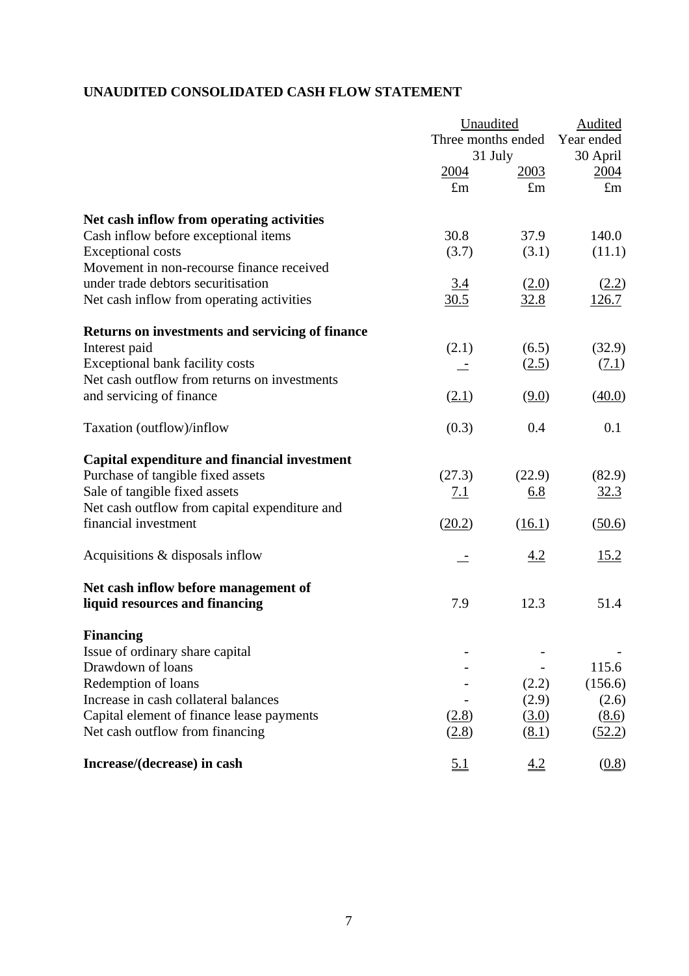## **UNAUDITED CONSOLIDATED CASH FLOW STATEMENT**

|                                                                                                                                                                                                     |                            | Unaudited<br>Three months ended<br>31 July |                                              |
|-----------------------------------------------------------------------------------------------------------------------------------------------------------------------------------------------------|----------------------------|--------------------------------------------|----------------------------------------------|
|                                                                                                                                                                                                     | <u>2004</u><br>$\pounds$ m | 2003<br>$\pounds$ m                        | 30 April<br>2004<br>$\pounds$ m              |
| Net cash inflow from operating activities                                                                                                                                                           |                            |                                            |                                              |
| Cash inflow before exceptional items<br><b>Exceptional costs</b><br>Movement in non-recourse finance received                                                                                       | 30.8<br>(3.7)              | 37.9<br>(3.1)                              | 140.0<br>(11.1)                              |
| under trade debtors securitisation<br>Net cash inflow from operating activities                                                                                                                     | 3.4<br>30.5                | (2.0)<br>32.8                              | (2.2)<br>126.7                               |
| Returns on investments and servicing of finance                                                                                                                                                     |                            |                                            |                                              |
| Interest paid<br>Exceptional bank facility costs<br>Net cash outflow from returns on investments                                                                                                    | (2.1)                      | (6.5)<br>(2.5)                             | (32.9)<br>(7.1)                              |
| and servicing of finance                                                                                                                                                                            | (2.1)                      | (9.0)                                      | (40.0)                                       |
| Taxation (outflow)/inflow                                                                                                                                                                           | (0.3)                      | 0.4                                        | 0.1                                          |
| Capital expenditure and financial investment<br>Purchase of tangible fixed assets<br>Sale of tangible fixed assets                                                                                  | (27.3)<br><u>7.1</u>       | (22.9)<br>6.8                              | (82.9)<br>32.3                               |
| Net cash outflow from capital expenditure and<br>financial investment                                                                                                                               | (20.2)                     | (16.1)                                     | (50.6)                                       |
| Acquisitions & disposals inflow                                                                                                                                                                     |                            | <u>4.2</u>                                 | <u>15.2</u>                                  |
| Net cash inflow before management of<br>liquid resources and financing                                                                                                                              | 7.9                        | 12.3                                       | 51.4                                         |
| <b>Financing</b>                                                                                                                                                                                    |                            |                                            |                                              |
| Issue of ordinary share capital<br>Drawdown of loans<br>Redemption of loans<br>Increase in cash collateral balances<br>Capital element of finance lease payments<br>Net cash outflow from financing | (2.8)<br>(2.8)             | (2.2)<br>(2.9)<br>(3.0)<br>(8.1)           | 115.6<br>(156.6)<br>(2.6)<br>(8.6)<br>(52.2) |
| Increase/(decrease) in cash                                                                                                                                                                         | $\underline{5.1}$          | $\underline{4.2}$                          | (0.8)                                        |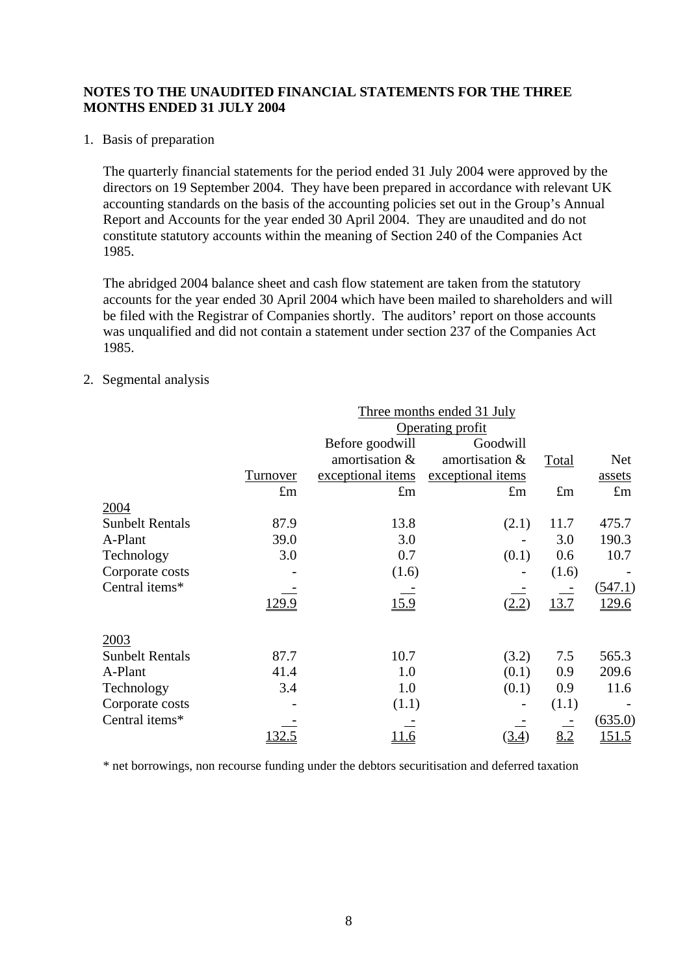1. Basis of preparation

The quarterly financial statements for the period ended 31 July 2004 were approved by the directors on 19 September 2004. They have been prepared in accordance with relevant UK accounting standards on the basis of the accounting policies set out in the Group's Annual Report and Accounts for the year ended 30 April 2004. They are unaudited and do not constitute statutory accounts within the meaning of Section 240 of the Companies Act 1985.

The abridged 2004 balance sheet and cash flow statement are taken from the statutory accounts for the year ended 30 April 2004 which have been mailed to shareholders and will be filed with the Registrar of Companies shortly. The auditors' report on those accounts was unqualified and did not contain a statement under section 237 of the Companies Act 1985.

2. Segmental analysis

| Three months ended 31 July |               |                   |                                 |             |              |
|----------------------------|---------------|-------------------|---------------------------------|-------------|--------------|
|                            |               |                   | Operating profit                |             |              |
|                            |               | Before goodwill   | Goodwill                        |             |              |
|                            |               | amortisation &    | amortisation &                  | Total       | <b>Net</b>   |
|                            | Turnover      | exceptional items | exceptional items               |             | assets       |
|                            | $\pounds$ m   | $\pounds$ m       | $\pounds$ m                     | $\pounds$ m | $\pounds$ m  |
| 2004                       |               |                   |                                 |             |              |
| <b>Sunbelt Rentals</b>     | 87.9          | 13.8              | (2.1)                           | 11.7        | 475.7        |
| A-Plant                    | 39.0          | 3.0               |                                 | 3.0         | 190.3        |
| Technology                 | 3.0           | 0.7               | (0.1)                           | 0.6         | 10.7         |
| Corporate costs            |               | (1.6)             |                                 | (1.6)       |              |
| Central items*             |               |                   |                                 |             | (547.1)      |
|                            | <u>129.9</u>  | 15.9              | (2.2)                           | 13.7        | <u>129.6</u> |
| 2003                       |               |                   |                                 |             |              |
| <b>Sunbelt Rentals</b>     | 87.7          | 10.7              | (3.2)                           | 7.5         | 565.3        |
| A-Plant                    | 41.4          | 1.0               | (0.1)                           | 0.9         | 209.6        |
| Technology                 | 3.4           | 1.0               | (0.1)                           | 0.9         | 11.6         |
| Corporate costs            |               | (1.1)             |                                 | (1.1)       |              |
| Central items*             |               |                   |                                 |             | (635.0)      |
|                            | <u> 132.5</u> | <u> 11.6</u>      | $\left( \underline{3.4}\right)$ | 8.2         | 151.5        |

\* net borrowings, non recourse funding under the debtors securitisation and deferred taxation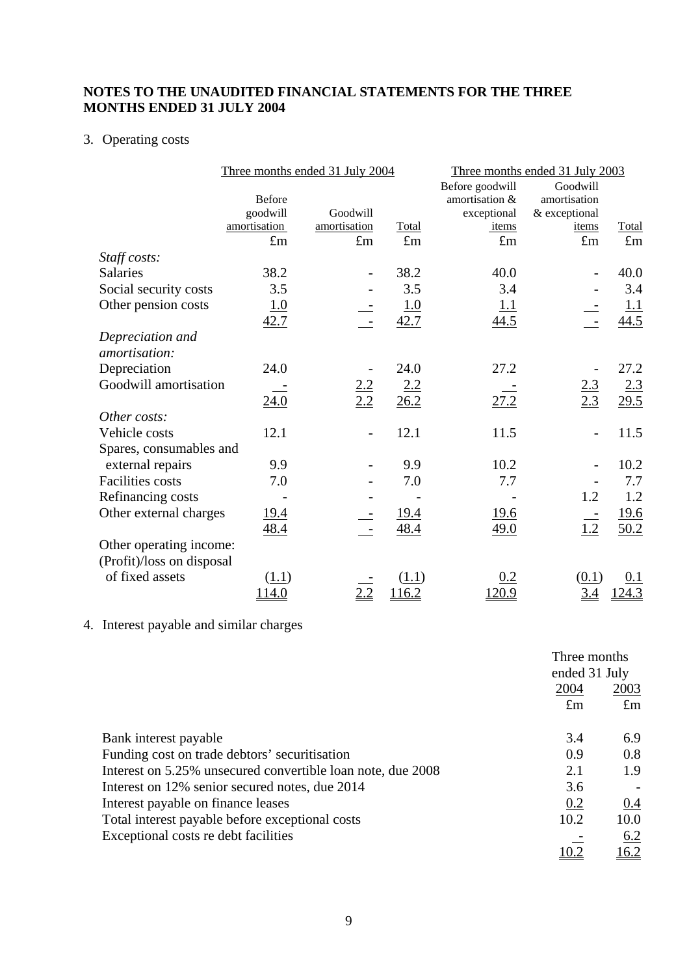## 3. Operating costs

|                                   | Three months ended 31 July 2004 |                          |             | Three months ended 31 July 2003 |                   |                    |
|-----------------------------------|---------------------------------|--------------------------|-------------|---------------------------------|-------------------|--------------------|
|                                   |                                 |                          |             | Before goodwill                 | Goodwill          |                    |
|                                   | <b>Before</b>                   |                          |             | amortisation &                  | amortisation      |                    |
|                                   | goodwill                        | Goodwill                 |             | exceptional                     | & exceptional     |                    |
|                                   | amortisation                    | amortisation             | Total       | items                           | items             | Total              |
|                                   | $\pounds$ m                     | $\pounds$ m              | $\pounds$ m | $\pounds$ m                     | $\pounds$ m       | $\pounds$ m        |
| Staff costs:                      |                                 |                          |             |                                 |                   |                    |
| <b>Salaries</b>                   | 38.2                            |                          | 38.2        | 40.0                            |                   | 40.0               |
| Social security costs             | 3.5                             |                          | 3.5         | 3.4                             |                   | 3.4                |
| Other pension costs               | <u>1.0</u>                      |                          | 1.0         | <u> 1.1</u>                     |                   | <u>1.1</u>         |
|                                   | 42.7                            |                          | 42.7        | 44.5                            |                   | 44.5               |
| Depreciation and<br>amortisation: |                                 |                          |             |                                 |                   |                    |
| Depreciation                      | 24.0                            |                          | 24.0        | 27.2                            |                   | 27.2               |
| Goodwill amortisation             |                                 |                          | 2.2         |                                 |                   |                    |
|                                   | 24.0                            | $\frac{2.2}{2.2}$        | 26.2        | 27.2                            | $\frac{2.3}{2.3}$ | $\frac{2.3}{29.5}$ |
| Other costs:                      |                                 |                          |             |                                 |                   |                    |
| Vehicle costs                     | 12.1                            | $\overline{\phantom{a}}$ | 12.1        | 11.5                            |                   | 11.5               |
| Spares, consumables and           |                                 |                          |             |                                 |                   |                    |
| external repairs                  | 9.9                             |                          | 9.9         | 10.2                            |                   | 10.2               |
| <b>Facilities</b> costs           | 7.0                             |                          | 7.0         | 7.7                             |                   | 7.7                |
| Refinancing costs                 |                                 |                          |             |                                 | 1.2               | 1.2                |
| Other external charges            | <u>19.4</u>                     |                          | <u>19.4</u> | <u>19.6</u>                     |                   | <u>19.6</u>        |
|                                   | 48.4                            |                          | 48.4        | 49.0                            | 1.2               | 50.2               |
| Other operating income:           |                                 |                          |             |                                 |                   |                    |
| (Profit)/loss on disposal         |                                 |                          |             |                                 |                   |                    |
| of fixed assets                   | (1.1)                           |                          | (1.1)       | 0.2                             | (0.1)             | 0.1                |
|                                   | 114.0                           | 2.2                      | 116.2       | 120.9                           | <u>3.4</u>        | 124.3              |

4. Interest payable and similar charges

|                                                             | Three months  |              |
|-------------------------------------------------------------|---------------|--------------|
|                                                             | ended 31 July |              |
|                                                             | 2004          | 2003         |
|                                                             | $\pounds$ m   | $\pounds$ m  |
| Bank interest payable                                       | 3.4           | 6.9          |
| Funding cost on trade debtors' securitisation               | 0.9           | 0.8          |
| Interest on 5.25% unsecured convertible loan note, due 2008 | 2.1           | 1.9          |
| Interest on 12% senior secured notes, due 2014              | 3.6           |              |
| Interest payable on finance leases                          | 0.2           | 0.4          |
| Total interest payable before exceptional costs             | 10.2          | 10.0         |
| Exceptional costs re debt facilities                        |               | 6.2          |
|                                                             |               | <u> 16.2</u> |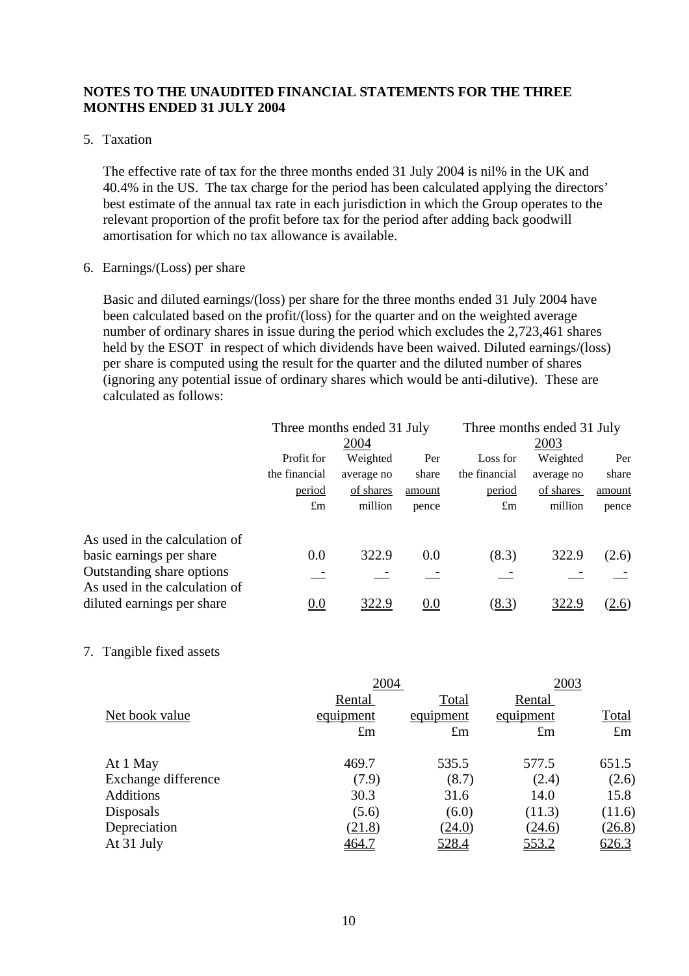#### 5. Taxation

The effective rate of tax for the three months ended 31 July 2004 is nil% in the UK and 40.4% in the US. The tax charge for the period has been calculated applying the directors' best estimate of the annual tax rate in each jurisdiction in which the Group operates to the relevant proportion of the profit before tax for the period after adding back goodwill amortisation for which no tax allowance is available.

#### 6. Earnings/(Loss) per share

Basic and diluted earnings/(loss) per share for the three months ended 31 July 2004 have been calculated based on the profit/(loss) for the quarter and on the weighted average number of ordinary shares in issue during the period which excludes the 2,723,461 shares held by the ESOT in respect of which dividends have been waived. Diluted earnings/(loss) per share is computed using the result for the quarter and the diluted number of shares (ignoring any potential issue of ordinary shares which would be anti-dilutive). These are calculated as follows:

|                                                            | Three months ended 31 July |            |         | Three months ended 31 July |            |        |  |
|------------------------------------------------------------|----------------------------|------------|---------|----------------------------|------------|--------|--|
|                                                            |                            | 2004       |         |                            | 2003       |        |  |
|                                                            | Profit for                 | Weighted   | Per     | Loss for                   | Weighted   | Per    |  |
|                                                            | the financial              | average no | share   | the financial              | average no | share  |  |
|                                                            | period                     | of shares  | amount  | period                     | of shares  | amount |  |
|                                                            | $\pounds$ m                | million    | pence   | $\pounds$ m                | million    | pence  |  |
| As used in the calculation of                              |                            |            |         |                            |            |        |  |
|                                                            |                            |            |         |                            |            |        |  |
| basic earnings per share                                   | 0.0                        | 322.9      | 0.0     | (8.3)                      | 322.9      | (2.6)  |  |
| Outstanding share options<br>As used in the calculation of |                            |            |         |                            |            |        |  |
| diluted earnings per share                                 | <u>0.0</u>                 | 322.9      | $0.0\,$ | (8.3)                      | 322.9      | (2.6)  |  |

#### 7. Tangible fixed assets

|                     | 2004        |             | 2003        |             |  |
|---------------------|-------------|-------------|-------------|-------------|--|
|                     | Rental      | Total       | Rental      |             |  |
| Net book value      | equipment   | equipment   | equipment   | Total       |  |
|                     | $\pounds$ m | $\pounds$ m | $\pounds$ m | $\pounds$ m |  |
| At 1 May            | 469.7       | 535.5       | 577.5       | 651.5       |  |
| Exchange difference | (7.9)       | (8.7)       | (2.4)       | (2.6)       |  |
| <b>Additions</b>    | 30.3        | 31.6        | 14.0        | 15.8        |  |
| Disposals           | (5.6)       | (6.0)       | (11.3)      | (11.6)      |  |
| Depreciation        | (21.8)      | (24.0)      | (24.6)      | (26.8)      |  |
| At 31 July          | 464.7       | 528.4       | 553.2       | 626.3       |  |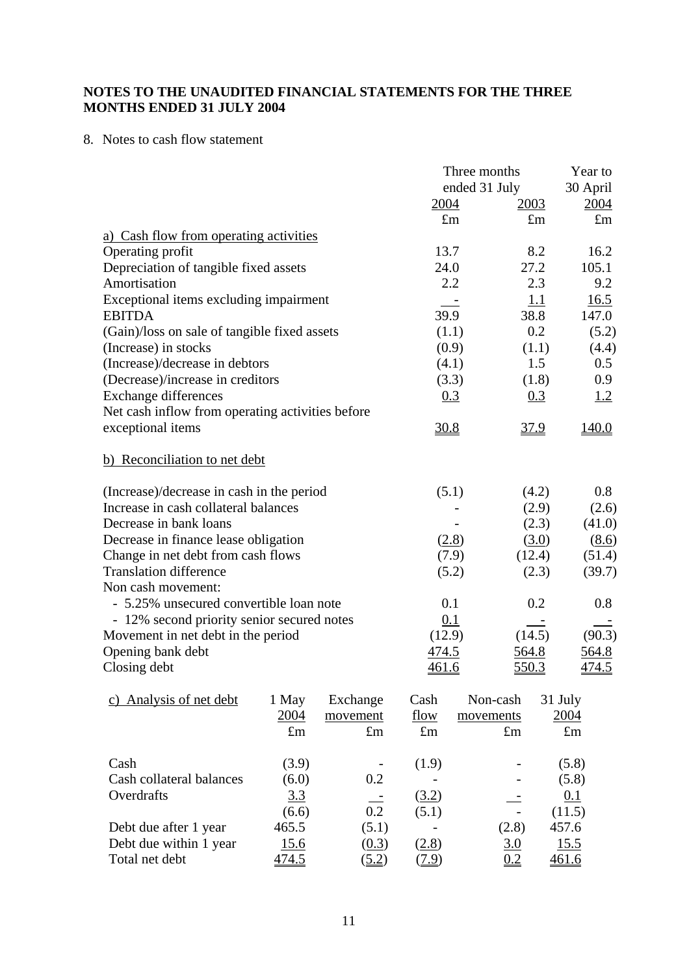## 8. Notes to cash flow statement

|                                                  | Three months  | Year to      |              |
|--------------------------------------------------|---------------|--------------|--------------|
|                                                  | ended 31 July |              | 30 April     |
|                                                  | 2004          | 2003         | 2004         |
|                                                  | $\pounds m$   | $\pounds$ m  | $\pounds$ m  |
| a) Cash flow from operating activities           |               |              |              |
| Operating profit                                 | 13.7          | 8.2          | 16.2         |
| Depreciation of tangible fixed assets            | 24.0          | 27.2         | 105.1        |
| Amortisation                                     | 2.2           | 2.3          | 9.2          |
| Exceptional items excluding impairment           |               | <u>1.1</u>   | 16.5         |
| <b>EBITDA</b>                                    | 39.9          | 38.8         | 147.0        |
| (Gain)/loss on sale of tangible fixed assets     | (1.1)         | 0.2          | (5.2)        |
| (Increase) in stocks                             | (0.9)         | (1.1)        | (4.4)        |
| (Increase)/decrease in debtors                   | (4.1)         | 1.5          | 0.5          |
| (Decrease)/increase in creditors                 | (3.3)         | (1.8)        | 0.9          |
| <b>Exchange differences</b>                      | 0.3           | 0.3          | <u>1.2</u>   |
| Net cash inflow from operating activities before |               |              |              |
| exceptional items                                | 30.8          | 37.9         | 140.0        |
| b) Reconciliation to net debt                    |               |              |              |
| (Increase)/decrease in cash in the period        | (5.1)         | (4.2)        | 0.8          |
| Increase in cash collateral balances             |               | (2.9)        | (2.6)        |
| Decrease in bank loans                           |               | (2.3)        | (41.0)       |
| Decrease in finance lease obligation             | (2.8)         | (3.0)        | (8.6)        |
| Change in net debt from cash flows               | (7.9)         | (12.4)       | (51.4)       |
| <b>Translation difference</b>                    | (5.2)         | (2.3)        | (39.7)       |
| Non cash movement:                               |               |              |              |
| - 5.25% unsecured convertible loan note          | 0.1           | 0.2          | 0.8          |
| - 12% second priority senior secured notes       | 0.1           |              |              |
| Movement in net debt in the period               | (12.9)        | (14.5)       | (90.3)       |
| Opening bank debt                                | <u>474.5</u>  | <u>564.8</u> | 564.8        |
| Closing debt                                     | <u>461.6</u>  | 550.3        | <u>474.5</u> |
|                                                  |               |              |              |

| Analysis of net debt<br>C) | 1 May       | Exchange    | Cash        | Non-cash    | 31 July     |
|----------------------------|-------------|-------------|-------------|-------------|-------------|
|                            | 2004        | movement    | flow        | movements   | 2004        |
|                            | $\pounds$ m | $\pounds$ m | $\pounds$ m | $\pounds$ m | $\pounds$ m |
| Cash                       | (3.9)       |             | (1.9)       |             | (5.8)       |
| Cash collateral balances   | (6.0)       | 0.2         |             |             | (5.8)       |
| Overdrafts                 | <u>3.3</u>  |             | (3.2)       |             | 0.1         |
|                            | (6.6)       | 0.2         | (5.1)       |             | (11.5)      |
| Debt due after 1 year      | 465.5       | (5.1)       |             | (2.8)       | 457.6       |
| Debt due within 1 year     | 15.6        | (0.3)       | (2.8)       | 3.0         | 15.5        |
| Total net debt             | 474.5       | (5.2)       | <u>7.9)</u> | 0.2         | 461.6       |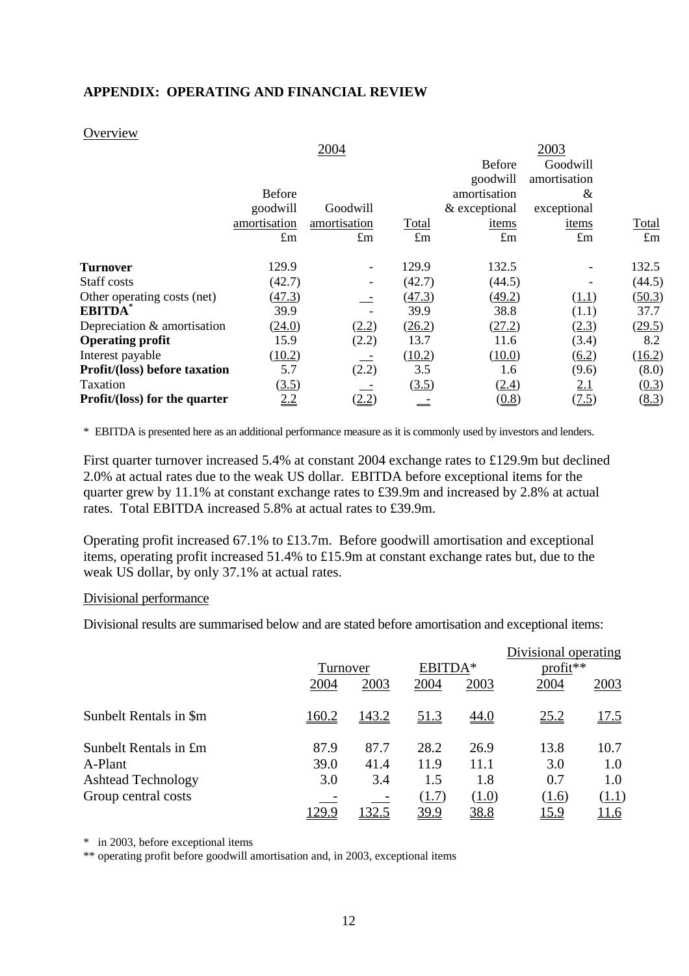## **APPENDIX: OPERATING AND FINANCIAL REVIEW**

#### **Overview**

| Goodwill<br><b>Before</b><br>amortisation<br>goodwill<br>amortisation<br><b>Before</b><br>&<br>goodwill<br>Goodwill<br>& exceptional<br>exceptional<br>Total<br>amortisation<br>amortisation<br>items<br>items<br>$\pounds$ m<br>$\pounds$ m<br>$\pounds$ m<br>$\pounds$ m<br>$\pounds$ m<br>129.9<br>129.9<br>132.5<br><b>Turnover</b><br>$\overline{\phantom{a}}$<br>Staff costs<br>(42.7)<br>(42.7)<br>(44.5)<br>(47.3)<br>(49.2)<br>Other operating costs (net)<br>(47.3)<br>(1.1)<br><b>EBITDA</b><br>39.9<br>39.9<br>38.8<br>(1.1)<br>Depreciation & amortisation<br>(24.0)<br>(27.2)<br>(2.3)<br>(2.2)<br>(26.2)<br>13.7<br><b>Operating profit</b><br>15.9<br>(2.2)<br>11.6<br>(3.4)<br>(10.2)<br>(10.2)<br>(10.0)<br>$\underline{(6.2)}$<br>Interest payable<br>5.7<br>(2.2)<br>3.5<br><b>Profit/(loss) before taxation</b><br>(9.6)<br>1.6<br>Taxation<br>(3.5)<br>(2.4)<br>2.1<br>(3.5)<br>(2.2)<br><u>2.2</u><br><b>Profit/(loss) for the quarter</b><br>(0.8)<br>(7.5) |  | 2004 |  | 2003 |             |
|-------------------------------------------------------------------------------------------------------------------------------------------------------------------------------------------------------------------------------------------------------------------------------------------------------------------------------------------------------------------------------------------------------------------------------------------------------------------------------------------------------------------------------------------------------------------------------------------------------------------------------------------------------------------------------------------------------------------------------------------------------------------------------------------------------------------------------------------------------------------------------------------------------------------------------------------------------------------------------------|--|------|--|------|-------------|
|                                                                                                                                                                                                                                                                                                                                                                                                                                                                                                                                                                                                                                                                                                                                                                                                                                                                                                                                                                                     |  |      |  |      |             |
|                                                                                                                                                                                                                                                                                                                                                                                                                                                                                                                                                                                                                                                                                                                                                                                                                                                                                                                                                                                     |  |      |  |      |             |
|                                                                                                                                                                                                                                                                                                                                                                                                                                                                                                                                                                                                                                                                                                                                                                                                                                                                                                                                                                                     |  |      |  |      |             |
|                                                                                                                                                                                                                                                                                                                                                                                                                                                                                                                                                                                                                                                                                                                                                                                                                                                                                                                                                                                     |  |      |  |      |             |
|                                                                                                                                                                                                                                                                                                                                                                                                                                                                                                                                                                                                                                                                                                                                                                                                                                                                                                                                                                                     |  |      |  |      | Total       |
|                                                                                                                                                                                                                                                                                                                                                                                                                                                                                                                                                                                                                                                                                                                                                                                                                                                                                                                                                                                     |  |      |  |      | $\pounds$ m |
|                                                                                                                                                                                                                                                                                                                                                                                                                                                                                                                                                                                                                                                                                                                                                                                                                                                                                                                                                                                     |  |      |  |      | 132.5       |
|                                                                                                                                                                                                                                                                                                                                                                                                                                                                                                                                                                                                                                                                                                                                                                                                                                                                                                                                                                                     |  |      |  |      | (44.5)      |
|                                                                                                                                                                                                                                                                                                                                                                                                                                                                                                                                                                                                                                                                                                                                                                                                                                                                                                                                                                                     |  |      |  |      | (50.3)      |
|                                                                                                                                                                                                                                                                                                                                                                                                                                                                                                                                                                                                                                                                                                                                                                                                                                                                                                                                                                                     |  |      |  |      | 37.7        |
|                                                                                                                                                                                                                                                                                                                                                                                                                                                                                                                                                                                                                                                                                                                                                                                                                                                                                                                                                                                     |  |      |  |      | (29.5)      |
|                                                                                                                                                                                                                                                                                                                                                                                                                                                                                                                                                                                                                                                                                                                                                                                                                                                                                                                                                                                     |  |      |  |      | 8.2         |
|                                                                                                                                                                                                                                                                                                                                                                                                                                                                                                                                                                                                                                                                                                                                                                                                                                                                                                                                                                                     |  |      |  |      | (16.2)      |
|                                                                                                                                                                                                                                                                                                                                                                                                                                                                                                                                                                                                                                                                                                                                                                                                                                                                                                                                                                                     |  |      |  |      | (8.0)       |
|                                                                                                                                                                                                                                                                                                                                                                                                                                                                                                                                                                                                                                                                                                                                                                                                                                                                                                                                                                                     |  |      |  |      | (0.3)       |
|                                                                                                                                                                                                                                                                                                                                                                                                                                                                                                                                                                                                                                                                                                                                                                                                                                                                                                                                                                                     |  |      |  |      | (8.3)       |

\* EBITDA is presented here as an additional performance measure as it is commonly used by investors and lenders.

First quarter turnover increased 5.4% at constant 2004 exchange rates to £129.9m but declined 2.0% at actual rates due to the weak US dollar. EBITDA before exceptional items for the quarter grew by 11.1% at constant exchange rates to £39.9m and increased by 2.8% at actual rates. Total EBITDA increased 5.8% at actual rates to £39.9m.

Operating profit increased 67.1% to £13.7m. Before goodwill amortisation and exceptional items, operating profit increased 51.4% to £15.9m at constant exchange rates but, due to the weak US dollar, by only 37.1% at actual rates.

#### Divisional performance

Divisional results are summarised below and are stated before amortisation and exceptional items:

|                           |       |          |             |             | Divisional operating |              |
|---------------------------|-------|----------|-------------|-------------|----------------------|--------------|
|                           |       | Turnover |             | EBITDA*     | $profit**$           |              |
|                           | 2004  | 2003     | 2004        | 2003        | 2004                 | 2003         |
| Sunbelt Rentals in \$m    | 160.2 | 143.2    | <u>51.3</u> | <u>44.0</u> | <u>25.2</u>          | <u>17.5</u>  |
| Sunbelt Rentals in £m     | 87.9  | 87.7     | 28.2        | 26.9        | 13.8                 | 10.7         |
| A-Plant                   | 39.0  | 41.4     | 11.9        | 11.1        | 3.0                  | 1.0          |
| <b>Ashtead Technology</b> | 3.0   | 3.4      | 1.5         | 1.8         | 0.7                  | 1.0          |
| Group central costs       |       |          | (1.7)       | (1.0)       | (1.6)                | (1.1)        |
|                           | 129.9 | 32.5     | 39.9        | <u>38.8</u> | <u> 15.9</u>         | <u> 11.6</u> |

\* in 2003, before exceptional items

\*\* operating profit before goodwill amortisation and, in 2003, exceptional items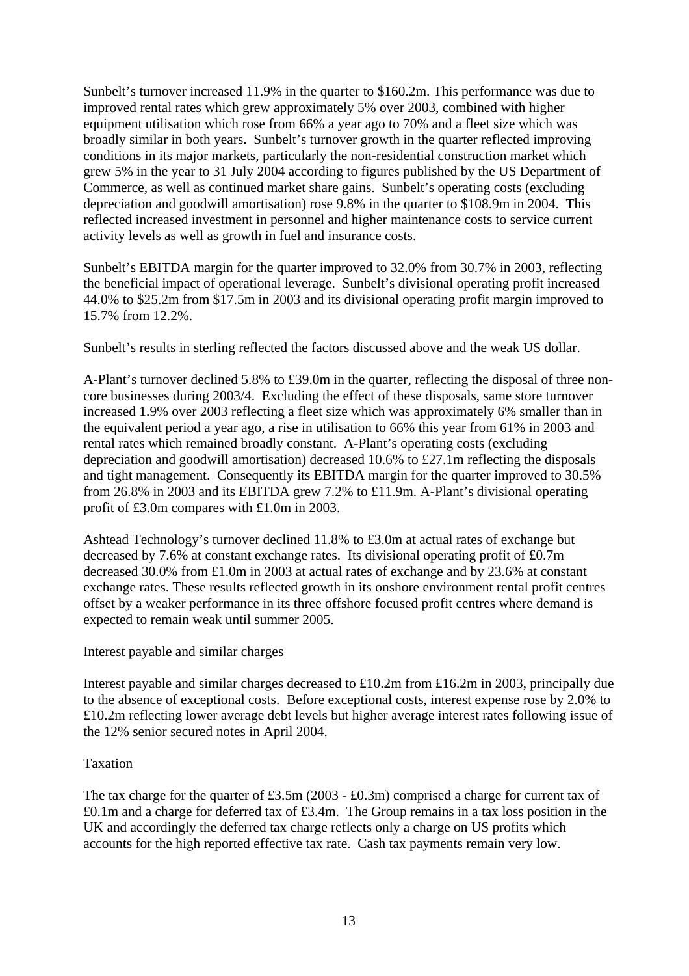Sunbelt's turnover increased 11.9% in the quarter to \$160.2m. This performance was due to improved rental rates which grew approximately 5% over 2003, combined with higher equipment utilisation which rose from 66% a year ago to 70% and a fleet size which was broadly similar in both years. Sunbelt's turnover growth in the quarter reflected improving conditions in its major markets, particularly the non-residential construction market which grew 5% in the year to 31 July 2004 according to figures published by the US Department of Commerce, as well as continued market share gains. Sunbelt's operating costs (excluding depreciation and goodwill amortisation) rose 9.8% in the quarter to \$108.9m in 2004. This reflected increased investment in personnel and higher maintenance costs to service current activity levels as well as growth in fuel and insurance costs.

Sunbelt's EBITDA margin for the quarter improved to 32.0% from 30.7% in 2003, reflecting the beneficial impact of operational leverage. Sunbelt's divisional operating profit increased 44.0% to \$25.2m from \$17.5m in 2003 and its divisional operating profit margin improved to 15.7% from 12.2%.

Sunbelt's results in sterling reflected the factors discussed above and the weak US dollar.

A-Plant's turnover declined 5.8% to £39.0m in the quarter, reflecting the disposal of three noncore businesses during 2003/4. Excluding the effect of these disposals, same store turnover increased 1.9% over 2003 reflecting a fleet size which was approximately 6% smaller than in the equivalent period a year ago, a rise in utilisation to 66% this year from 61% in 2003 and rental rates which remained broadly constant. A-Plant's operating costs (excluding depreciation and goodwill amortisation) decreased 10.6% to £27.1m reflecting the disposals and tight management. Consequently its EBITDA margin for the quarter improved to 30.5% from 26.8% in 2003 and its EBITDA grew 7.2% to £11.9m. A-Plant's divisional operating profit of £3.0m compares with £1.0m in 2003.

Ashtead Technology's turnover declined 11.8% to £3.0m at actual rates of exchange but decreased by 7.6% at constant exchange rates. Its divisional operating profit of £0.7m decreased 30.0% from £1.0m in 2003 at actual rates of exchange and by 23.6% at constant exchange rates. These results reflected growth in its onshore environment rental profit centres offset by a weaker performance in its three offshore focused profit centres where demand is expected to remain weak until summer 2005.

#### Interest payable and similar charges

Interest payable and similar charges decreased to £10.2m from £16.2m in 2003, principally due to the absence of exceptional costs. Before exceptional costs, interest expense rose by 2.0% to £10.2m reflecting lower average debt levels but higher average interest rates following issue of the 12% senior secured notes in April 2004.

#### Taxation

The tax charge for the quarter of £3.5m (2003 - £0.3m) comprised a charge for current tax of £0.1m and a charge for deferred tax of £3.4m. The Group remains in a tax loss position in the UK and accordingly the deferred tax charge reflects only a charge on US profits which accounts for the high reported effective tax rate. Cash tax payments remain very low.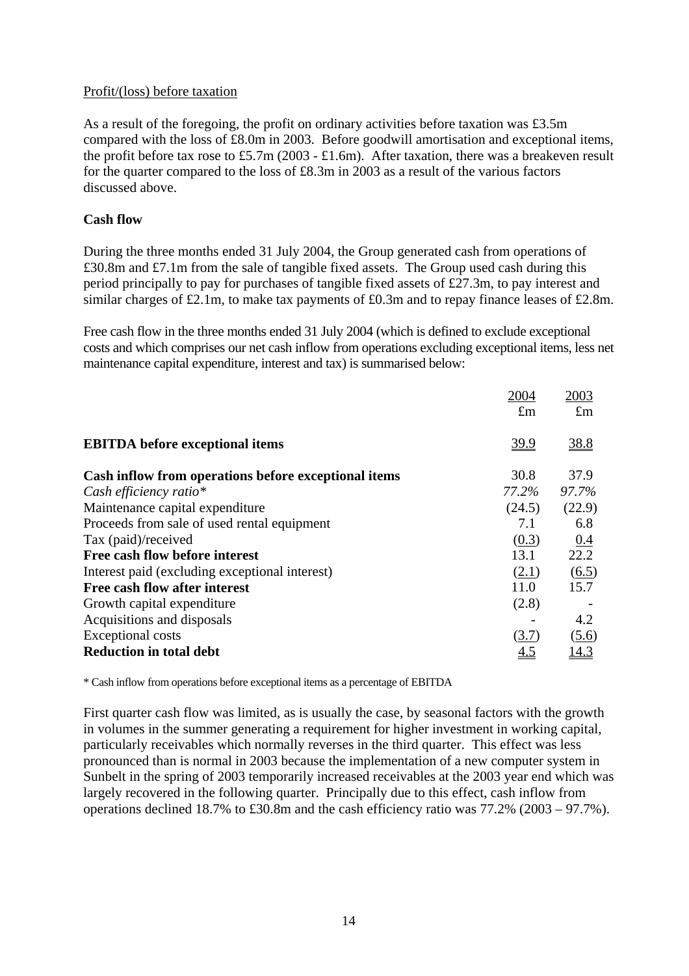#### Profit/(loss) before taxation

As a result of the foregoing, the profit on ordinary activities before taxation was £3.5m compared with the loss of £8.0m in 2003. Before goodwill amortisation and exceptional items, the profit before tax rose to £5.7m (2003 - £1.6m). After taxation, there was a breakeven result for the quarter compared to the loss of £8.3m in 2003 as a result of the various factors discussed above.

## **Cash flow**

During the three months ended 31 July 2004, the Group generated cash from operations of £30.8m and £7.1m from the sale of tangible fixed assets. The Group used cash during this period principally to pay for purchases of tangible fixed assets of £27.3m, to pay interest and similar charges of £2.1m, to make tax payments of £0.3m and to repay finance leases of £2.8m.

Free cash flow in the three months ended 31 July 2004 (which is defined to exclude exceptional costs and which comprises our net cash inflow from operations excluding exceptional items, less net maintenance capital expenditure, interest and tax) is summarised below:

|                                                      | 2004<br>$\pounds$ m | 2003<br>$\pounds$ m |
|------------------------------------------------------|---------------------|---------------------|
| <b>EBITDA</b> before exceptional items               | <u>39.9</u>         | <u>38.8</u>         |
| Cash inflow from operations before exceptional items | 30.8                | 37.9                |
| Cash efficiency ratio*                               | 77.2%               | 97.7%               |
| Maintenance capital expenditure                      | (24.5)              | (22.9)              |
| Proceeds from sale of used rental equipment          | 7.1                 | 6.8                 |
| Tax (paid)/received                                  | (0.3)               | 0.4                 |
| Free cash flow before interest                       | 13.1                | 22.2                |
| Interest paid (excluding exceptional interest)       | (2.1)               | $\underline{(6.5)}$ |
| Free cash flow after interest                        | 11.0                | 15.7                |
| Growth capital expenditure                           | (2.8)               |                     |
| Acquisitions and disposals                           |                     | 4.2                 |
| <b>Exceptional costs</b>                             | (3.7)               | (5.6)               |
| <b>Reduction in total debt</b>                       | 4.5                 | 14.3                |

\* Cash inflow from operations before exceptional items as a percentage of EBITDA

First quarter cash flow was limited, as is usually the case, by seasonal factors with the growth in volumes in the summer generating a requirement for higher investment in working capital, particularly receivables which normally reverses in the third quarter. This effect was less pronounced than is normal in 2003 because the implementation of a new computer system in Sunbelt in the spring of 2003 temporarily increased receivables at the 2003 year end which was largely recovered in the following quarter. Principally due to this effect, cash inflow from operations declined 18.7% to £30.8m and the cash efficiency ratio was 77.2% (2003 – 97.7%).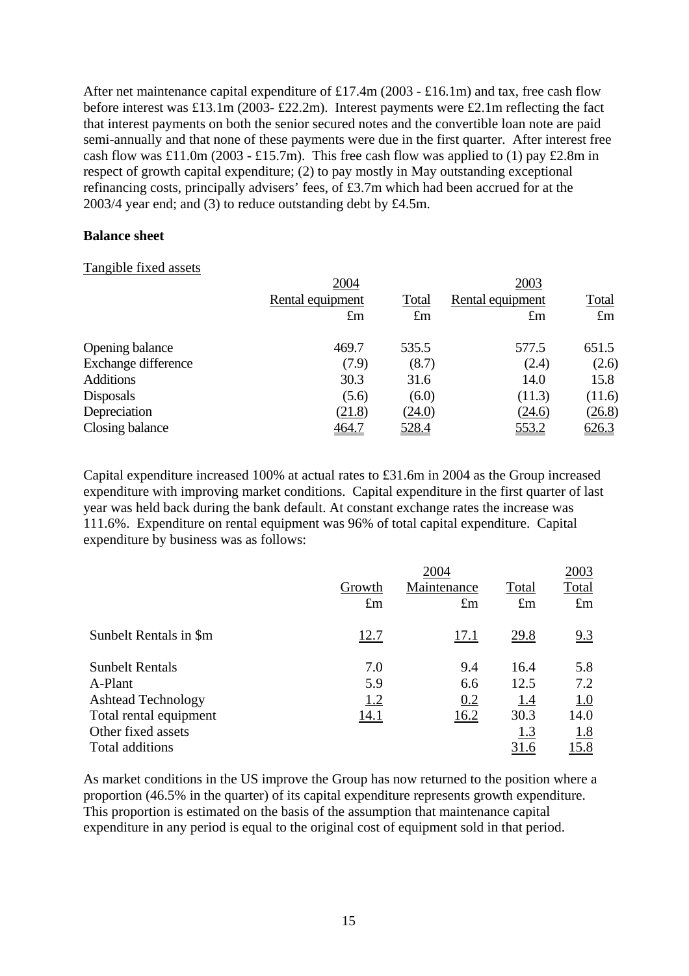After net maintenance capital expenditure of £17.4m (2003 - £16.1m) and tax, free cash flow before interest was £13.1m (2003- £22.2m). Interest payments were £2.1m reflecting the fact that interest payments on both the senior secured notes and the convertible loan note are paid semi-annually and that none of these payments were due in the first quarter. After interest free cash flow was £11.0m (2003 - £15.7m). This free cash flow was applied to (1) pay £2.8m in respect of growth capital expenditure; (2) to pay mostly in May outstanding exceptional refinancing costs, principally advisers' fees, of £3.7m which had been accrued for at the 2003/4 year end; and (3) to reduce outstanding debt by £4.5m.

## **Balance sheet**

#### Tangible fixed assets

|                     | 2004             |             | 2003             |              |
|---------------------|------------------|-------------|------------------|--------------|
|                     | Rental equipment | Total       | Rental equipment | <u>Total</u> |
|                     | $\pounds$ m      | $\pounds$ m | $\pounds$ m      | $\pounds$ m  |
| Opening balance     | 469.7            | 535.5       | 577.5            | 651.5        |
| Exchange difference | (7.9)            | (8.7)       | (2.4)            | (2.6)        |
| <b>Additions</b>    | 30.3             | 31.6        | 14.0             | 15.8         |
| <b>Disposals</b>    | (5.6)            | (6.0)       | (11.3)           | (11.6)       |
| Depreciation        | (21.8)           | (24.0)      | (24.6)           | (26.8)       |
| Closing balance     | 464.7            | 528.4       | 553.2            | 626.3        |
|                     |                  |             |                  |              |

Capital expenditure increased 100% at actual rates to £31.6m in 2004 as the Group increased expenditure with improving market conditions. Capital expenditure in the first quarter of last year was held back during the bank default. At constant exchange rates the increase was 111.6%. Expenditure on rental equipment was 96% of total capital expenditure. Capital expenditure by business was as follows:

| 2004        |             |             |             |  |  |
|-------------|-------------|-------------|-------------|--|--|
| Growth      | Maintenance | Total       | Total       |  |  |
| $\pounds$ m | $\pounds$ m | $\pounds$ m | $\pounds$ m |  |  |
| 12.7        | <u>17.1</u> | <u>29.8</u> | <u>9.3</u>  |  |  |
| 7.0         | 9.4         | 16.4        | 5.8         |  |  |
| 5.9         | 6.6         | 12.5        | 7.2         |  |  |
| <u>1.2</u>  | 0.2         | <u>1.4</u>  | <u>1.0</u>  |  |  |
| <u>14.1</u> | <u>16.2</u> | 30.3        | 14.0        |  |  |
|             |             | <u>1.3</u>  | <u>1.8</u>  |  |  |
|             |             |             |             |  |  |
|             |             |             |             |  |  |

As market conditions in the US improve the Group has now returned to the position where a proportion (46.5% in the quarter) of its capital expenditure represents growth expenditure. This proportion is estimated on the basis of the assumption that maintenance capital expenditure in any period is equal to the original cost of equipment sold in that period.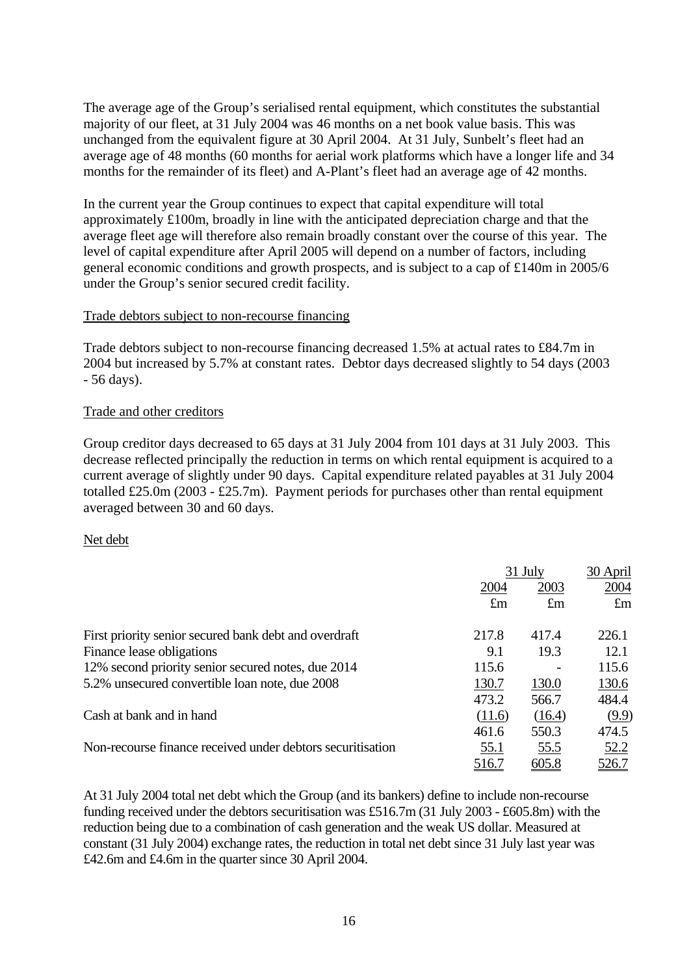The average age of the Group's serialised rental equipment, which constitutes the substantial majority of our fleet, at 31 July 2004 was 46 months on a net book value basis. This was unchanged from the equivalent figure at 30 April 2004. At 31 July, Sunbelt's fleet had an average age of 48 months (60 months for aerial work platforms which have a longer life and 34 months for the remainder of its fleet) and A-Plant's fleet had an average age of 42 months.

In the current year the Group continues to expect that capital expenditure will total approximately £100m, broadly in line with the anticipated depreciation charge and that the average fleet age will therefore also remain broadly constant over the course of this year. The level of capital expenditure after April 2005 will depend on a number of factors, including general economic conditions and growth prospects, and is subject to a cap of £140m in 2005/6 under the Group's senior secured credit facility.

## Trade debtors subject to non-recourse financing

Trade debtors subject to non-recourse financing decreased 1.5% at actual rates to £84.7m in 2004 but increased by 5.7% at constant rates. Debtor days decreased slightly to 54 days (2003 - 56 days).

#### Trade and other creditors

Group creditor days decreased to 65 days at 31 July 2004 from 101 days at 31 July 2003. This decrease reflected principally the reduction in terms on which rental equipment is acquired to a current average of slightly under 90 days. Capital expenditure related payables at 31 July 2004 totalled £25.0m (2003 - £25.7m). Payment periods for purchases other than rental equipment averaged between 30 and 60 days.

#### Net debt

|                                                            |             | 31 July     |             |
|------------------------------------------------------------|-------------|-------------|-------------|
|                                                            | 2004        | 2003        |             |
|                                                            | $\pounds$ m | $\pounds$ m | $\pounds$ m |
| First priority senior secured bank debt and overdraft      | 217.8       | 417.4       | 226.1       |
| Finance lease obligations                                  | 9.1         | 19.3        | 12.1        |
| 12% second priority senior secured notes, due 2014         | 115.6       |             | 115.6       |
| 5.2% unsecured convertible loan note, due 2008             | 130.7       | 130.0       | 130.6       |
|                                                            | 473.2       | 566.7       | 484.4       |
| Cash at bank and in hand                                   | (11.6)      | (16.4)      | (9.9)       |
|                                                            | 461.6       | 550.3       | 474.5       |
| Non-recourse finance received under debtors securitisation | <u>55.1</u> | 55.5        | 52.2        |
|                                                            | 516.7       | 605.8       | 526.7       |

At 31 July 2004 total net debt which the Group (and its bankers) define to include non-recourse funding received under the debtors securitisation was £516.7m (31 July 2003 - £605.8m) with the reduction being due to a combination of cash generation and the weak US dollar. Measured at constant (31 July 2004) exchange rates, the reduction in total net debt since 31 July last year was £42.6m and £4.6m in the quarter since 30 April 2004.